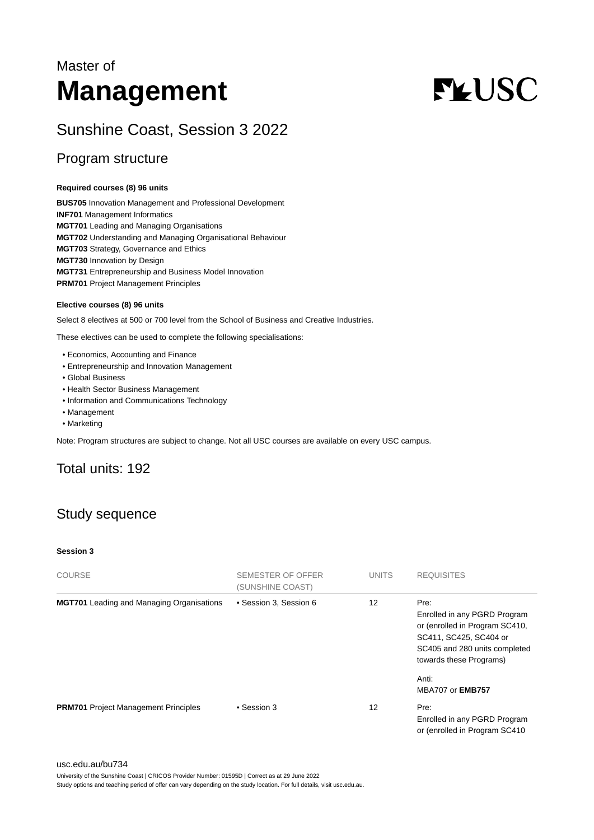# Master of **Management**

# **FLUSC**

# Sunshine Coast, Session 3 2022

### Program structure

#### **Required courses (8) 96 units**

**BUS705** Innovation Management and Professional Development **INF701** Management Informatics **MGT701** Leading and Managing Organisations **MGT702** Understanding and Managing Organisational Behaviour **MGT703** Strategy, Governance and Ethics **MGT730** Innovation by Design **MGT731** Entrepreneurship and Business Model Innovation **PRM701** Project Management Principles

#### **Elective courses (8) 96 units**

Select 8 electives at 500 or 700 level from the School of Business and Creative Industries.

These electives can be used to complete the following specialisations:

- Economics, Accounting and Finance
- Entrepreneurship and Innovation Management
- Global Business
- Health Sector Business Management
- Information and Communications Technology
- Management
- Marketing

Note: Program structures are subject to change. Not all USC courses are available on every USC campus.

## Total units: 192

# Study sequence

#### **Session 3**

| COURSE                                           | SEMESTER OF OFFER<br>(SUNSHINE COAST) | <b>UNITS</b> | <b>REQUISITES</b>                                                                                                                                            |
|--------------------------------------------------|---------------------------------------|--------------|--------------------------------------------------------------------------------------------------------------------------------------------------------------|
| <b>MGT701</b> Leading and Managing Organisations | • Session 3, Session 6                | 12           | Pre:<br>Enrolled in any PGRD Program<br>or (enrolled in Program SC410,<br>SC411, SC425, SC404 or<br>SC405 and 280 units completed<br>towards these Programs) |
|                                                  |                                       |              | Anti:<br><b>MBA707 or EMB757</b>                                                                                                                             |
| <b>PRM701</b> Project Management Principles      | • Session 3                           | 12           | Pre:<br>Enrolled in any PGRD Program<br>or (enrolled in Program SC410)                                                                                       |

#### [usc.edu.au/bu734](https://www.usc.edu.au/bu734)

University of the Sunshine Coast | CRICOS Provider Number: 01595D | Correct as at 29 June 2022

Study options and teaching period of offer can vary depending on the study location. For full details, visit usc.edu.au.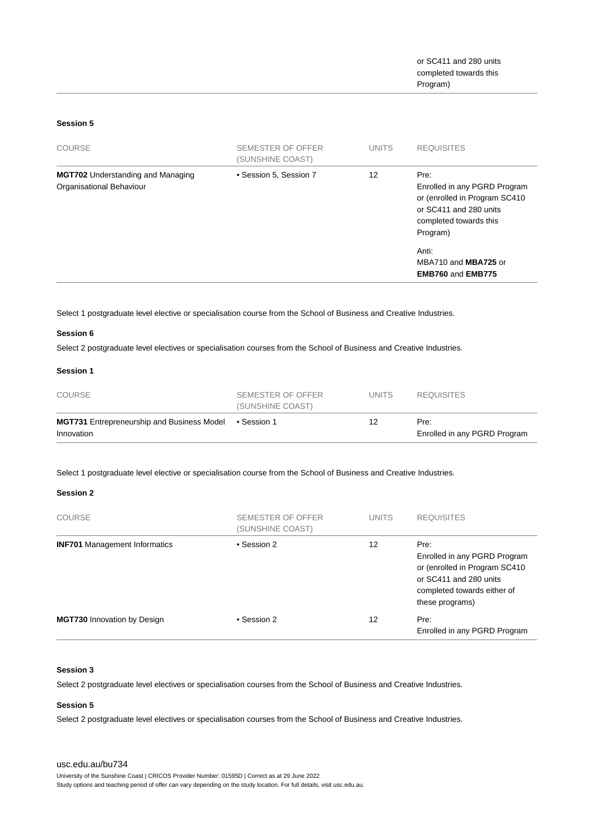#### **Session 5**

| <b>COURSE</b>                                                        | <b>SEMESTER OF OFFER</b><br>(SUNSHINE COAST) | <b>UNITS</b> | <b>REQUISITES</b>                                                                                                                     |
|----------------------------------------------------------------------|----------------------------------------------|--------------|---------------------------------------------------------------------------------------------------------------------------------------|
| <b>MGT702</b> Understanding and Managing<br>Organisational Behaviour | • Session 5, Session 7                       | 12           | Pre:<br>Enrolled in any PGRD Program<br>or (enrolled in Program SC410<br>or SC411 and 280 units<br>completed towards this<br>Program) |
|                                                                      |                                              |              | Anti:<br>MBA710 and MBA725 or<br><b>EMB760 and EMB775</b>                                                                             |

Select 1 postgraduate level elective or specialisation course from the School of Business and Creative Industries.

#### **Session 6**

Select 2 postgraduate level electives or specialisation courses from the School of Business and Creative Industries.

#### **Session 1**

| <b>COURSE</b>                                                   | SEMESTER OF OFFER<br>(SUNSHINE COAST) | UNITS. | <b>REQUISITES</b>                    |
|-----------------------------------------------------------------|---------------------------------------|--------|--------------------------------------|
| <b>MGT731</b> Entrepreneurship and Business Model<br>Innovation | ● Session 1                           | 12     | Pre:<br>Enrolled in any PGRD Program |

Select 1 postgraduate level elective or specialisation course from the School of Business and Creative Industries.

#### **Session 2**

| <b>COURSE</b>                        | SEMESTER OF OFFER<br>(SUNSHINE COAST) | <b>UNITS</b> | <b>REQUISITES</b>                                                                                                                                 |
|--------------------------------------|---------------------------------------|--------------|---------------------------------------------------------------------------------------------------------------------------------------------------|
| <b>INF701</b> Management Informatics | • Session 2                           | 12           | Pre:<br>Enrolled in any PGRD Program<br>or (enrolled in Program SC410<br>or SC411 and 280 units<br>completed towards either of<br>these programs) |
| <b>MGT730</b> Innovation by Design   | • Session 2                           | 12           | Pre:<br>Enrolled in any PGRD Program                                                                                                              |

#### **Session 3**

Select 2 postgraduate level electives or specialisation courses from the School of Business and Creative Industries.

#### **Session 5**

Select 2 postgraduate level electives or specialisation courses from the School of Business and Creative Industries.

#### [usc.edu.au/bu734](https://www.usc.edu.au/bu734)

University of the Sunshine Coast | CRICOS Provider Number: 01595D | Correct as at 29 June 2022

Study options and teaching period of offer can vary depending on the study location. For full details, visit usc.edu.au.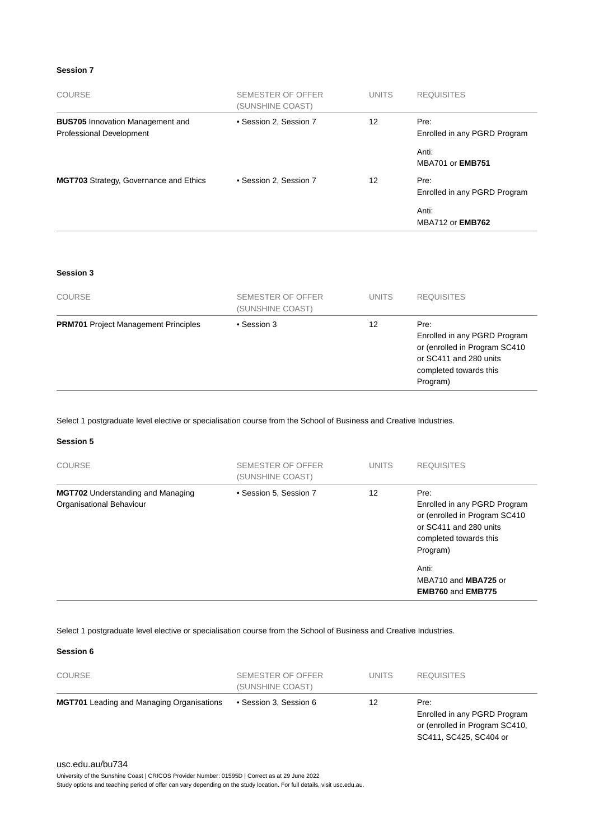#### **Session 7**

| <b>COURSE</b>                                                              | SEMESTER OF OFFER<br>(SUNSHINE COAST) | <b>UNITS</b>    | <b>REQUISITES</b>                    |
|----------------------------------------------------------------------------|---------------------------------------|-----------------|--------------------------------------|
| <b>BUS705</b> Innovation Management and<br><b>Professional Development</b> | • Session 2, Session 7                | 12 <sup>2</sup> | Pre:<br>Enrolled in any PGRD Program |
|                                                                            |                                       |                 | Anti:<br><b>MBA701 or EMB751</b>     |
| <b>MGT703</b> Strategy, Governance and Ethics                              | • Session 2, Session 7                | 12 <sup>2</sup> | Pre:<br>Enrolled in any PGRD Program |
|                                                                            |                                       |                 | Anti:<br><b>MBA712 or EMB762</b>     |

#### **Session 3**

| <b>COURSE</b>                               | SEMESTER OF OFFER<br>(SUNSHINE COAST) | <b>UNITS</b> | <b>REQUISITES</b>                                                                                                                     |
|---------------------------------------------|---------------------------------------|--------------|---------------------------------------------------------------------------------------------------------------------------------------|
| <b>PRM701</b> Project Management Principles | • Session 3                           | 12           | Pre:<br>Enrolled in any PGRD Program<br>or (enrolled in Program SC410<br>or SC411 and 280 units<br>completed towards this<br>Program) |

Select 1 postgraduate level elective or specialisation course from the School of Business and Creative Industries.

#### **Session 5**

| <b>COURSE</b>                                                        | SEMESTER OF OFFER<br>(SUNSHINE COAST) | <b>UNITS</b> | <b>REQUISITES</b>                                                                                                                                                                                  |
|----------------------------------------------------------------------|---------------------------------------|--------------|----------------------------------------------------------------------------------------------------------------------------------------------------------------------------------------------------|
| <b>MGT702</b> Understanding and Managing<br>Organisational Behaviour | • Session 5, Session 7                | 12           | Pre:<br>Enrolled in any PGRD Program<br>or (enrolled in Program SC410<br>or SC411 and 280 units<br>completed towards this<br>Program)<br>Anti:<br>MBA710 and MBA725 or<br><b>EMB760 and EMB775</b> |

#### Select 1 postgraduate level elective or specialisation course from the School of Business and Creative Industries.

#### **Session 6**

| <b>COURSE</b>                                    | SEMESTER OF OFFER<br>(SUNSHINE COAST) | <b>UNITS</b> | <b>REQUISITES</b>                                                                                |
|--------------------------------------------------|---------------------------------------|--------------|--------------------------------------------------------------------------------------------------|
| <b>MGT701</b> Leading and Managing Organisations | • Session 3, Session 6                | 12           | Pre:<br>Enrolled in any PGRD Program<br>or (enrolled in Program SC410,<br>SC411, SC425, SC404 or |

#### [usc.edu.au/bu734](https://www.usc.edu.au/bu734)

University of the Sunshine Coast | CRICOS Provider Number: 01595D | Correct as at 29 June 2022

Study options and teaching period of offer can vary depending on the study location. For full details, visit usc.edu.au.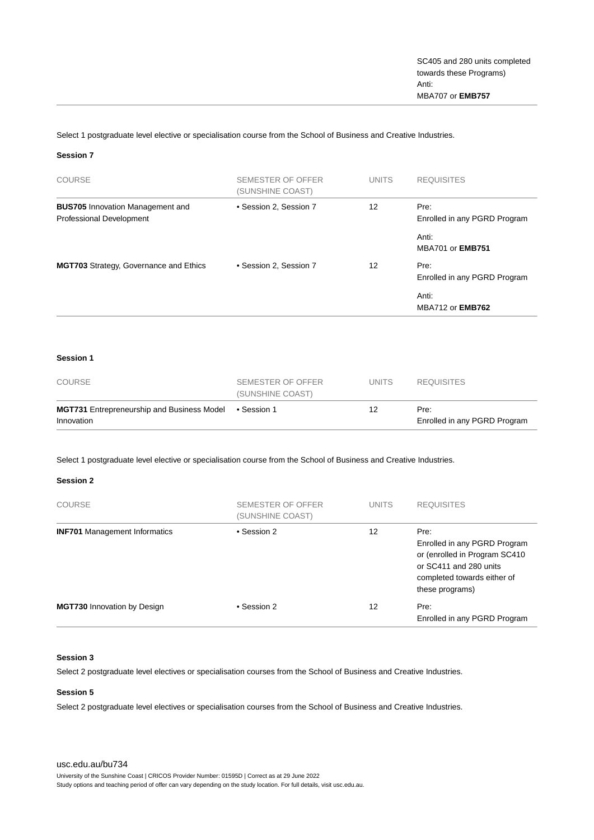Select 1 postgraduate level elective or specialisation course from the School of Business and Creative Industries.

#### **Session 7**

| <b>COURSE</b>                                                              | <b>SEMESTER OF OFFER</b><br>(SUNSHINE COAST) | <b>UNITS</b>      | <b>REQUISITES</b>                    |
|----------------------------------------------------------------------------|----------------------------------------------|-------------------|--------------------------------------|
| <b>BUS705</b> Innovation Management and<br><b>Professional Development</b> | • Session 2, Session 7                       | $12 \overline{ }$ | Pre:<br>Enrolled in any PGRD Program |
|                                                                            |                                              |                   | Anti:<br>MBA701 or <b>EMB751</b>     |
| MGT703 Strategy, Governance and Ethics                                     | • Session 2, Session 7                       | 12                | Pre:<br>Enrolled in any PGRD Program |
|                                                                            |                                              |                   | Anti:<br><b>MBA712 or EMB762</b>     |

#### **Session 1**

| COURSE                                                          | SEMESTER OF OFFER<br>(SUNSHINE COAST) | UNITS | <b>REQUISITES</b>                    |
|-----------------------------------------------------------------|---------------------------------------|-------|--------------------------------------|
| <b>MGT731</b> Entrepreneurship and Business Model<br>Innovation | ● Session 1                           | 12    | Pre:<br>Enrolled in any PGRD Program |

Select 1 postgraduate level elective or specialisation course from the School of Business and Creative Industries.

#### **Session 2**

| <b>COURSE</b>                        | SEMESTER OF OFFER<br>(SUNSHINE COAST) | <b>UNITS</b> | <b>REQUISITES</b>                                                                                                                                  |
|--------------------------------------|---------------------------------------|--------------|----------------------------------------------------------------------------------------------------------------------------------------------------|
| <b>INF701</b> Management Informatics | • Session 2                           | 12           | Pre:<br>Enrolled in any PGRD Program<br>or (enrolled in Program SC410)<br>or SC411 and 280 units<br>completed towards either of<br>these programs) |
| <b>MGT730 Innovation by Design</b>   | • Session 2                           | 12           | Pre:<br>Enrolled in any PGRD Program                                                                                                               |

#### **Session 3**

Select 2 postgraduate level electives or specialisation courses from the School of Business and Creative Industries.

#### **Session 5**

Select 2 postgraduate level electives or specialisation courses from the School of Business and Creative Industries.

[usc.edu.au/bu734](https://www.usc.edu.au/bu734) University of the Sunshine Coast | CRICOS Provider Number: 01595D | Correct as at 29 June 2022 Study options and teaching period of offer can vary depending on the study location. For full details, visit usc.edu.au.